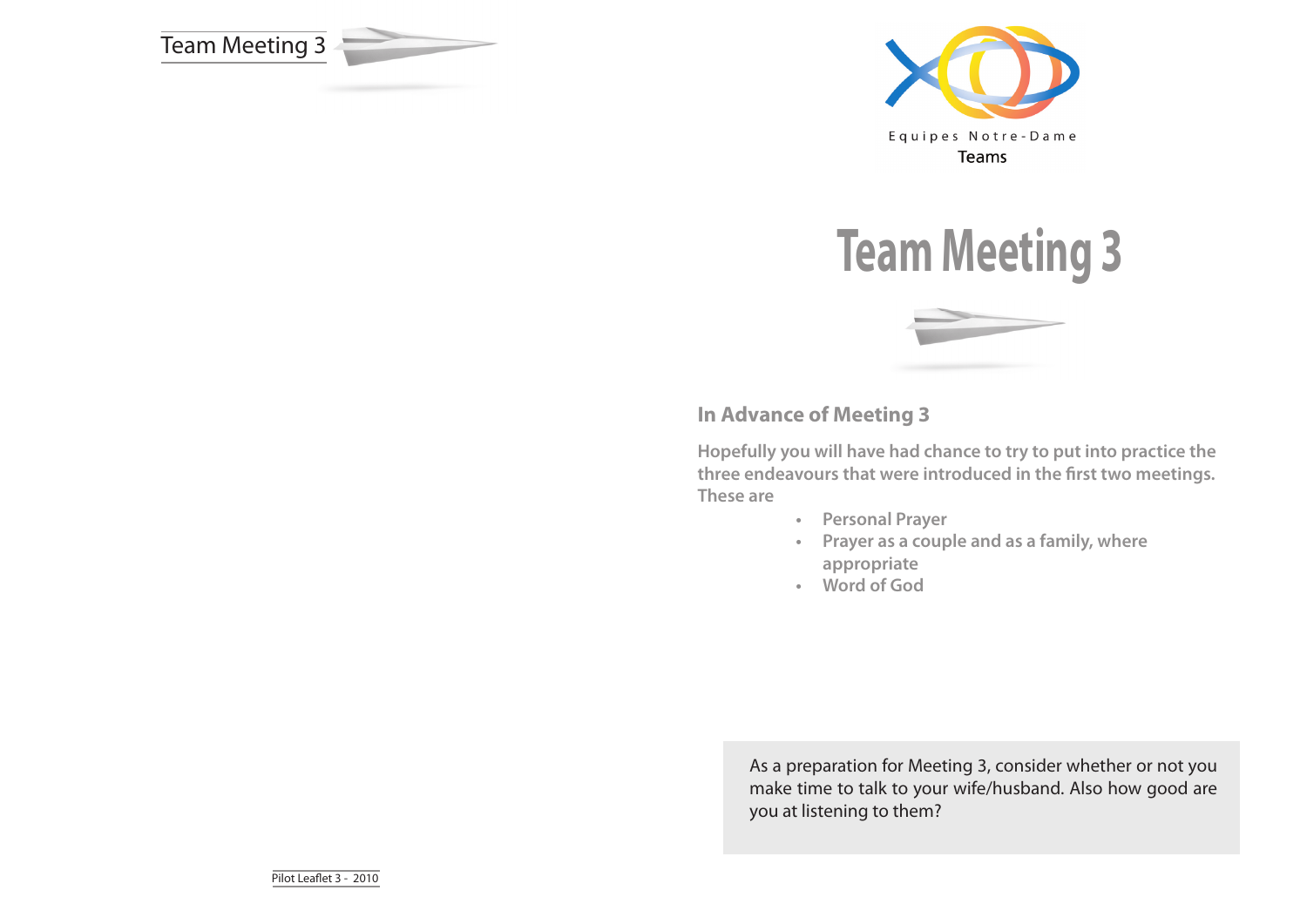







# **In Advance of Meeting 3**

**Hopefully you will have had chance to try to put into practice the three endeavours that were introduced in the first two meetings. These are**

- **• Personal Prayer**
- **• Prayer as a couple and as a family, where appropriate**
- **• Word of God**

As a preparation for Meeting 3, consider whether or not you make time to talk to your wife/husband. Also how good are you at listening to them?